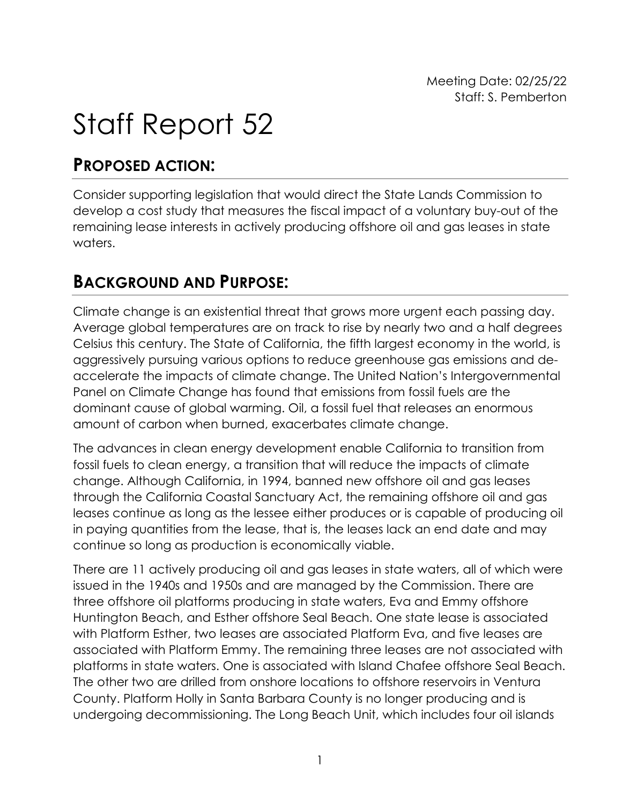Meeting Date: 02/25/22 Staff: S. Pemberton

## Staff Report 52

## **PROPOSED ACTION:**

Consider supporting legislation that would direct the State Lands Commission to develop a cost study that measures the fiscal impact of a voluntary buy-out of the remaining lease interests in actively producing offshore oil and gas leases in state waters.

## **BACKGROUND AND PURPOSE:**

Climate change is an existential threat that grows more urgent each passing day. Average global temperatures are on track to rise by nearly two and a half degrees Celsius this century. The State of California, the fifth largest economy in the world, is aggressively pursuing various options to reduce greenhouse gas emissions and deaccelerate the impacts of climate change. The United Nation's Intergovernmental Panel on Climate Change has found that emissions from fossil fuels are the dominant cause of global warming. Oil, a fossil fuel that releases an enormous amount of carbon when burned, exacerbates climate change.

The advances in clean energy development enable California to transition from fossil fuels to clean energy, a transition that will reduce the impacts of climate change. Although California, in 1994, banned new offshore oil and gas leases through the California Coastal Sanctuary Act, the remaining offshore oil and gas leases continue as long as the lessee either produces or is capable of producing oil in paying quantities from the lease, that is, the leases lack an end date and may continue so long as production is economically viable.

There are 11 actively producing oil and gas leases in state waters, all of which were issued in the 1940s and 1950s and are managed by the Commission. There are three offshore oil platforms producing in state waters, Eva and Emmy offshore Huntington Beach, and Esther offshore Seal Beach. One state lease is associated with Platform Esther, two leases are associated Platform Eva, and five leases are associated with Platform Emmy. The remaining three leases are not associated with platforms in state waters. One is associated with Island Chafee offshore Seal Beach. The other two are drilled from onshore locations to offshore reservoirs in Ventura County. Platform Holly in Santa Barbara County is no longer producing and is undergoing decommissioning. The Long Beach Unit, which includes four oil islands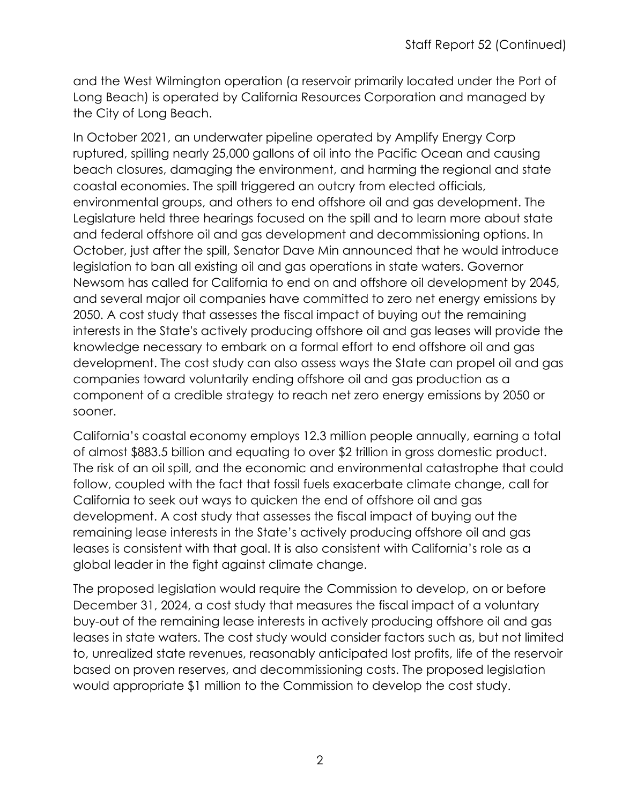and the West Wilmington operation (a reservoir primarily located under the Port of Long Beach) is operated by California Resources Corporation and managed by the City of Long Beach.

In October 2021, an underwater pipeline operated by Amplify Energy Corp ruptured, spilling nearly 25,000 gallons of oil into the Pacific Ocean and causing beach closures, damaging the environment, and harming the regional and state coastal economies. The spill triggered an outcry from elected officials, environmental groups, and others to end offshore oil and gas development. The Legislature held three hearings focused on the spill and to learn more about state and federal offshore oil and gas development and decommissioning options. In October, just after the spill, Senator Dave Min announced that he would introduce legislation to ban all existing oil and gas operations in state waters. Governor Newsom has called for California to end on and offshore oil development by 2045, and several major oil companies have committed to zero net energy emissions by 2050. A cost study that assesses the fiscal impact of buying out the remaining interests in the State's actively producing offshore oil and gas leases will provide the knowledge necessary to embark on a formal effort to end offshore oil and gas development. The cost study can also assess ways the State can propel oil and gas companies toward voluntarily ending offshore oil and gas production as a component of a credible strategy to reach net zero energy emissions by 2050 or sooner.

California's coastal economy employs 12.3 million people annually, earning a total of almost \$883.5 billion and equating to over \$2 trillion in gross domestic product. The risk of an oil spill, and the economic and environmental catastrophe that could follow, coupled with the fact that fossil fuels exacerbate climate change, call for California to seek out ways to quicken the end of offshore oil and gas development. A cost study that assesses the fiscal impact of buying out the remaining lease interests in the State's actively producing offshore oil and gas leases is consistent with that goal. It is also consistent with California's role as a global leader in the fight against climate change.

The proposed legislation would require the Commission to develop, on or before December 31, 2024, a cost study that measures the fiscal impact of a voluntary buy-out of the remaining lease interests in actively producing offshore oil and gas leases in state waters. The cost study would consider factors such as, but not limited to, unrealized state revenues, reasonably anticipated lost profits, life of the reservoir based on proven reserves, and decommissioning costs. The proposed legislation would appropriate \$1 million to the Commission to develop the cost study.